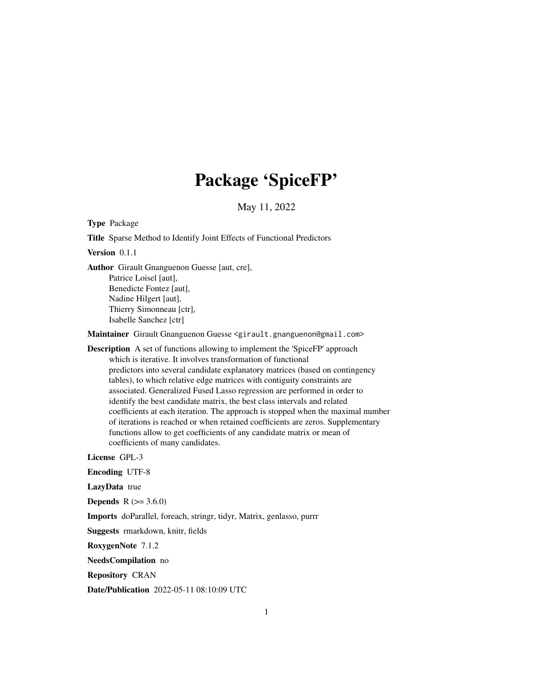# Package 'SpiceFP'

May 11, 2022

<span id="page-0-0"></span>Type Package

Title Sparse Method to Identify Joint Effects of Functional Predictors

Version 0.1.1

Author Girault Gnanguenon Guesse [aut, cre], Patrice Loisel [aut], Benedicte Fontez [aut], Nadine Hilgert [aut], Thierry Simonneau [ctr], Isabelle Sanchez [ctr]

Maintainer Girault Gnanguenon Guesse <girault.gnanguenon@gmail.com>

Description A set of functions allowing to implement the 'SpiceFP' approach which is iterative. It involves transformation of functional predictors into several candidate explanatory matrices (based on contingency tables), to which relative edge matrices with contiguity constraints are associated. Generalized Fused Lasso regression are performed in order to identify the best candidate matrix, the best class intervals and related coefficients at each iteration. The approach is stopped when the maximal number of iterations is reached or when retained coefficients are zeros. Supplementary functions allow to get coefficients of any candidate matrix or mean of coefficients of many candidates.

License GPL-3

Encoding UTF-8

LazyData true

**Depends** R  $(>= 3.6.0)$ 

Imports doParallel, foreach, stringr, tidyr, Matrix, genlasso, purrr

Suggests rmarkdown, knitr, fields

RoxygenNote 7.1.2

NeedsCompilation no

Repository CRAN

Date/Publication 2022-05-11 08:10:09 UTC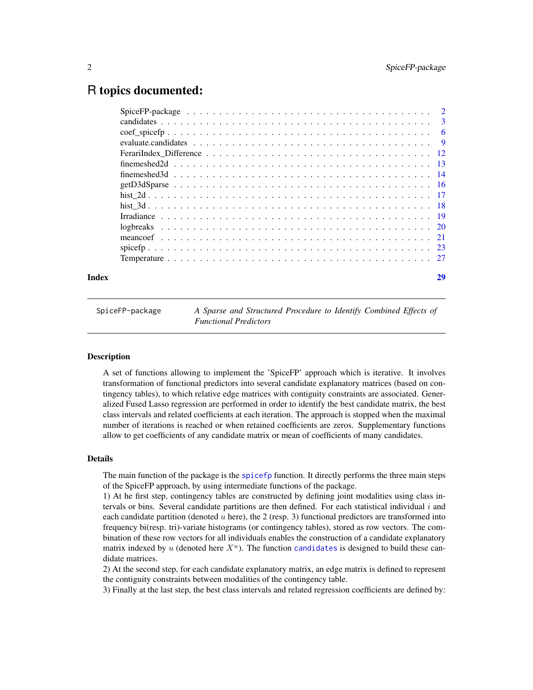# <span id="page-1-0"></span>R topics documented:

| Index | 29 |
|-------|----|
|       |    |
|       |    |
|       |    |
|       |    |
|       |    |
|       |    |
|       |    |
|       |    |
|       |    |
|       |    |
|       |    |
|       |    |
|       |    |
|       |    |
|       |    |

SpiceFP-package *A Sparse and Structured Procedure to Identify Combined Effects of Functional Predictors*

#### **Description**

A set of functions allowing to implement the 'SpiceFP' approach which is iterative. It involves transformation of functional predictors into several candidate explanatory matrices (based on contingency tables), to which relative edge matrices with contiguity constraints are associated. Generalized Fused Lasso regression are performed in order to identify the best candidate matrix, the best class intervals and related coefficients at each iteration. The approach is stopped when the maximal number of iterations is reached or when retained coefficients are zeros. Supplementary functions allow to get coefficients of any candidate matrix or mean of coefficients of many candidates.

# Details

The main function of the package is the [spicefp](#page-22-1) function. It directly performs the three main steps of the SpiceFP approach, by using intermediate functions of the package.

1) At he first step, contingency tables are constructed by defining joint modalities using class intervals or bins. Several candidate partitions are then defined. For each statistical individual  $i$  and each candidate partition (denoted u here), the 2 (resp. 3) functional predictors are transformed into frequency bi(resp. tri)-variate histograms (or contingency tables), stored as row vectors. The combination of these row vectors for all individuals enables the construction of a candidate explanatory matrix indexed by u (denoted here  $X^u$ ). The function [candidates](#page-2-1) is designed to build these candidate matrices.

2) At the second step, for each candidate explanatory matrix, an edge matrix is defined to represent the contiguity constraints between modalities of the contingency table.

3) Finally at the last step, the best class intervals and related regression coefficients are defined by: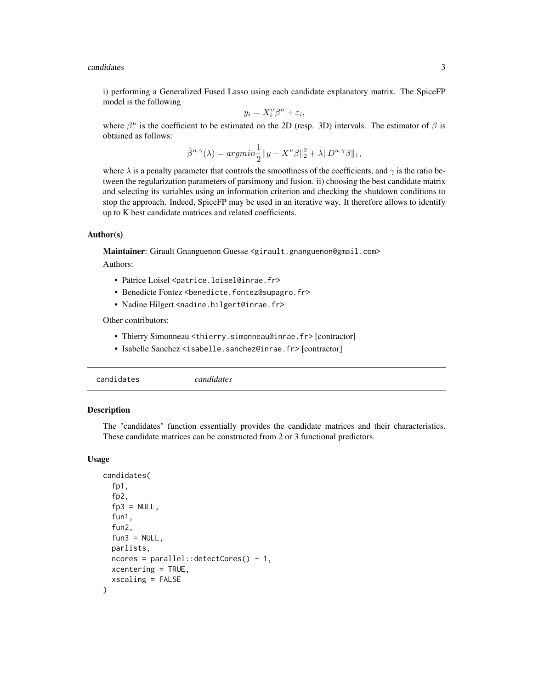#### <span id="page-2-0"></span>candidates 3

i) performing a Generalized Fused Lasso using each candidate explanatory matrix. The SpiceFP model is the following

$$
y_i = X_i^u \beta^u + \varepsilon_i,
$$

where  $\beta^u$  is the coefficient to be estimated on the 2D (resp. 3D) intervals. The estimator of  $\beta$  is obtained as follows:

$$
\hat{\beta}^{u,\gamma}(\lambda) = argmin \frac{1}{2} ||y - X^u \beta||_2^2 + \lambda ||D^{u,\gamma} \beta||_1,
$$

where  $\lambda$  is a penalty parameter that controls the smoothness of the coefficients, and  $\gamma$  is the ratio between the regularization parameters of parsimony and fusion. ii) choosing the best candidate matrix and selecting its variables using an information criterion and checking the shutdown conditions to stop the approach. Indeed, SpiceFP may be used in an iterative way. It therefore allows to identify up to K best candidate matrices and related coefficients.

#### Author(s)

Maintainer: Girault Gnanguenon Guesse <girault.gnanguenon@gmail.com>

Authors:

- Patrice Loisel <patrice.loisel@inrae.fr>
- Benedicte Fontez <benedicte.fontez@supagro.fr>
- Nadine Hilgert <nadine.hilgert@inrae.fr>

Other contributors:

- Thierry Simonneau <thierry.simonneau@inrae.fr> [contractor]
- Isabelle Sanchez <isabelle.sanchez@inrae.fr> [contractor]

<span id="page-2-1"></span>

| candidates |
|------------|
|------------|

# Description

The "candidates" function essentially provides the candidate matrices and their characteristics. These candidate matrices can be constructed from 2 or 3 functional predictors.

#### Usage

```
candidates(
  fp1,
  fp2,
  fp3 = NULL,fun1,
  fun2,
  fun3 = NULL,parlists,
 ncores = parallel::detectCores() - 1,
 xcentering = TRUE,
  xscaling = FALSE
)
```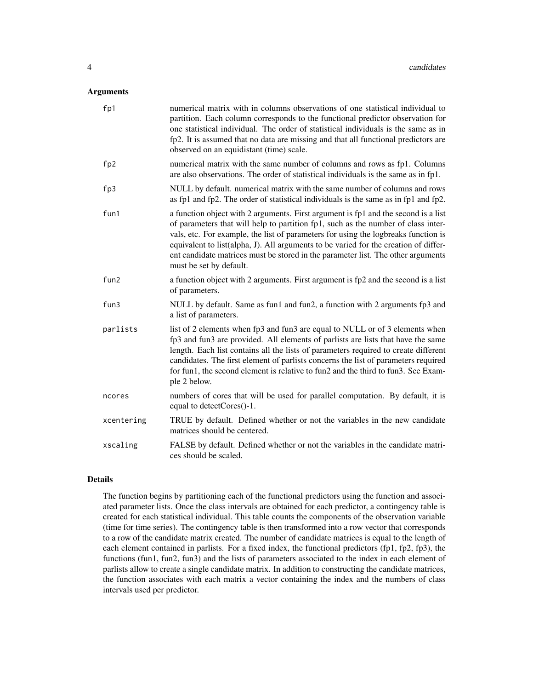# Arguments

| fp1             | numerical matrix with in columns observations of one statistical individual to<br>partition. Each column corresponds to the functional predictor observation for<br>one statistical individual. The order of statistical individuals is the same as in<br>fp2. It is assumed that no data are missing and that all functional predictors are<br>observed on an equidistant (time) scale.                                                                             |
|-----------------|----------------------------------------------------------------------------------------------------------------------------------------------------------------------------------------------------------------------------------------------------------------------------------------------------------------------------------------------------------------------------------------------------------------------------------------------------------------------|
| fp <sub>2</sub> | numerical matrix with the same number of columns and rows as fp1. Columns<br>are also observations. The order of statistical individuals is the same as in fp1.                                                                                                                                                                                                                                                                                                      |
| fp3             | NULL by default. numerical matrix with the same number of columns and rows<br>as fp1 and fp2. The order of statistical individuals is the same as in fp1 and fp2.                                                                                                                                                                                                                                                                                                    |
| fun1            | a function object with 2 arguments. First argument is fp1 and the second is a list<br>of parameters that will help to partition fp1, such as the number of class inter-<br>vals, etc. For example, the list of parameters for using the logbreaks function is<br>equivalent to list(alpha, J). All arguments to be varied for the creation of differ-<br>ent candidate matrices must be stored in the parameter list. The other arguments<br>must be set by default. |
| fun2            | a function object with 2 arguments. First argument is fp2 and the second is a list<br>of parameters.                                                                                                                                                                                                                                                                                                                                                                 |
| fun3            | NULL by default. Same as fun1 and fun2, a function with 2 arguments fp3 and<br>a list of parameters.                                                                                                                                                                                                                                                                                                                                                                 |
| parlists        | list of 2 elements when fp3 and fun3 are equal to NULL or of 3 elements when<br>fp3 and fun3 are provided. All elements of parlists are lists that have the same<br>length. Each list contains all the lists of parameters required to create different<br>candidates. The first element of parlists concerns the list of parameters required<br>for fun1, the second element is relative to fun2 and the third to fun3. See Exam-<br>ple 2 below.                   |
| ncores          | numbers of cores that will be used for parallel computation. By default, it is<br>equal to detectCores()-1.                                                                                                                                                                                                                                                                                                                                                          |
| xcentering      | TRUE by default. Defined whether or not the variables in the new candidate<br>matrices should be centered.                                                                                                                                                                                                                                                                                                                                                           |
| xscaling        | FALSE by default. Defined whether or not the variables in the candidate matri-<br>ces should be scaled.                                                                                                                                                                                                                                                                                                                                                              |

# Details

The function begins by partitioning each of the functional predictors using the function and associated parameter lists. Once the class intervals are obtained for each predictor, a contingency table is created for each statistical individual. This table counts the components of the observation variable (time for time series). The contingency table is then transformed into a row vector that corresponds to a row of the candidate matrix created. The number of candidate matrices is equal to the length of each element contained in parlists. For a fixed index, the functional predictors (fp1, fp2, fp3), the functions (fun1, fun2, fun3) and the lists of parameters associated to the index in each element of parlists allow to create a single candidate matrix. In addition to constructing the candidate matrices, the function associates with each matrix a vector containing the index and the numbers of class intervals used per predictor.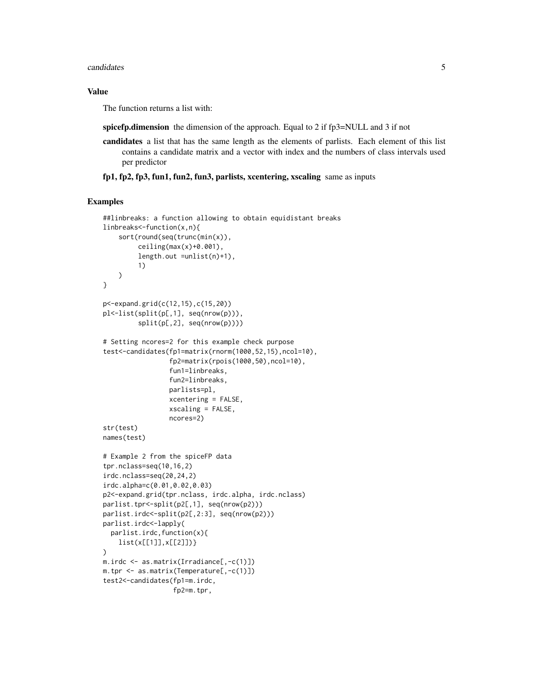#### candidates 5

# Value

The function returns a list with:

spicefp.dimension the dimension of the approach. Equal to 2 if fp3=NULL and 3 if not

candidates a list that has the same length as the elements of parlists. Each element of this list contains a candidate matrix and a vector with index and the numbers of class intervals used per predictor

fp1, fp2, fp3, fun1, fun2, fun3, parlists, xcentering, xscaling same as inputs

```
##linbreaks: a function allowing to obtain equidistant breaks
linbreaks<-function(x,n){
    sort(round(seq(trunc(min(x)),
         ceiling(max(x)+0.001),
         length.out =unlist(n)+1),
         1)
    )
}
p<-expand.grid(c(12,15),c(15,20))
pl<-list(split(p[,1], seq(nrow(p))),
         split(p[,2], seq(nrow(p))))
# Setting ncores=2 for this example check purpose
test<-candidates(fp1=matrix(rnorm(1000,52,15),ncol=10),
                 fp2=matrix(rpois(1000,50),ncol=10),
                 fun1=linbreaks,
                 fun2=linbreaks,
                 parlists=pl,
                 xcentering = FALSE,
                 xscaling = FALSE,
                 ncores=2)
str(test)
names(test)
# Example 2 from the spiceFP data
tpr.nclass=seq(10,16,2)
irdc.nclass=seq(20,24,2)
irdc.alpha=c(0.01,0.02,0.03)
p2<-expand.grid(tpr.nclass, irdc.alpha, irdc.nclass)
parlist.tpr<-split(p2[,1], seq(nrow(p2)))
parlist.irdc<-split(p2[,2:3], seq(nrow(p2)))
parlist.irdc<-lapply(
  parlist.irdc,function(x){
    list(x[[1]],x[[2]])}
)
m.irdc <- as.matrix(Irradiance[,-c(1)])
m.tpr <- as.matrix(Temperature[,-c(1)])
test2<-candidates(fp1=m.irdc,
                  fp2=m.tpr,
```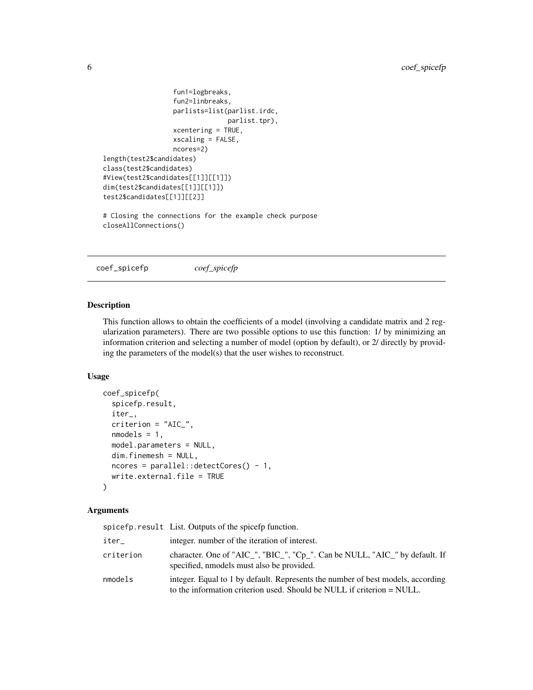```
fun1=logbreaks,
                  fun2=linbreaks,
                  parlists=list(parlist.irdc,
                               parlist.tpr),
                  xcentering = TRUE,
                  xscaling = FALSE,
                  ncores=2)
length(test2$candidates)
class(test2$candidates)
#View(test2$candidates[[1]][[1]])
dim(test2$candidates[[1]][[1]])
test2$candidates[[1]][[2]]
# Closing the connections for the example check purpose
closeAllConnections()
```
coef\_spicefp *coef\_spicefp*

#### Description

This function allows to obtain the coefficients of a model (involving a candidate matrix and 2 regularization parameters). There are two possible options to use this function: 1/ by minimizing an information criterion and selecting a number of model (option by default), or 2/ directly by providing the parameters of the model(s) that the user wishes to reconstruct.

# Usage

```
coef_spicefp(
  spicefp.result,
  iter_,
  criterion = "AIC_",
  nmodels = 1,
  model.parameters = NULL,
  dim.finemesh = NULL,
  ncores = parallel::detectCores() - 1,write.external.file = TRUE
\lambda
```
#### Arguments

|           | spice fp. result List. Outputs of the spice fp function.                                                                                                  |
|-----------|-----------------------------------------------------------------------------------------------------------------------------------------------------------|
| iter_     | integer, number of the iteration of interest.                                                                                                             |
| criterion | character. One of "AIC_", "BIC_", "Cp_". Can be NULL, "AIC_" by default. If<br>specified, nmodels must also be provided.                                  |
| nmodels   | integer. Equal to 1 by default. Represents the number of best models, according<br>to the information criterion used. Should be NULL if criterion = NULL. |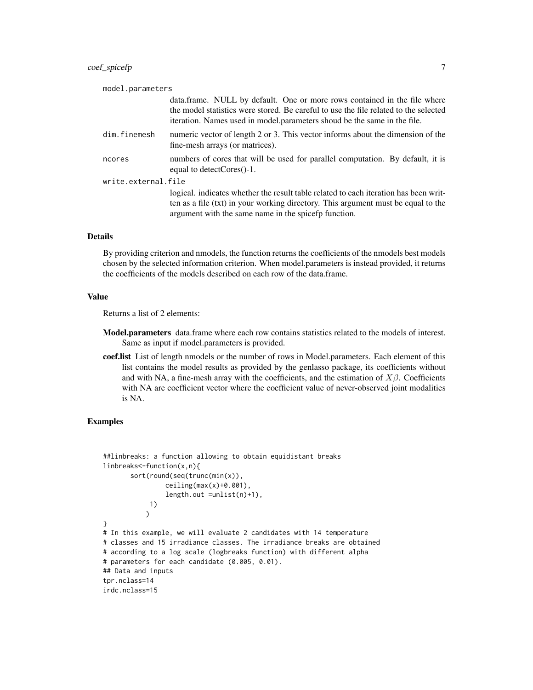| model.parameters                                                                                                                                                                                                                              |  |  |
|-----------------------------------------------------------------------------------------------------------------------------------------------------------------------------------------------------------------------------------------------|--|--|
| data.frame. NULL by default. One or more rows contained in the file where<br>the model statistics were stored. Be careful to use the file related to the selected<br>iteration. Names used in model parameters shoud be the same in the file. |  |  |
| numeric vector of length 2 or 3. This vector informs about the dimension of the<br>fine-mesh arrays (or matrices).                                                                                                                            |  |  |
| numbers of cores that will be used for parallel computation. By default, it is<br>equal to detectCores()-1.                                                                                                                                   |  |  |
| write.external.file                                                                                                                                                                                                                           |  |  |
| logical, indicates whether the result table related to each iteration has been writ-<br>ten as a file (txt) in your working directory. This argument must be equal to the<br>argument with the same name in the spice formation.              |  |  |
|                                                                                                                                                                                                                                               |  |  |

#### Details

By providing criterion and nmodels, the function returns the coefficients of the nmodels best models chosen by the selected information criterion. When model.parameters is instead provided, it returns the coefficients of the models described on each row of the data.frame.

# Value

Returns a list of 2 elements:

- Model.parameters data.frame where each row contains statistics related to the models of interest. Same as input if model.parameters is provided.
- coef.list List of length nmodels or the number of rows in Model.parameters. Each element of this list contains the model results as provided by the genlasso package, its coefficients without and with NA, a fine-mesh array with the coefficients, and the estimation of  $X\beta$ . Coefficients with NA are coefficient vector where the coefficient value of never-observed joint modalities is NA.

```
##linbreaks: a function allowing to obtain equidistant breaks
linbreaks<-function(x,n){
       sort(round(seq(trunc(min(x)),
                ceiling(max(x)+0.001),
                length.out =unlist(n)+1),
            1)
           \mathcal{L}}
# In this example, we will evaluate 2 candidates with 14 temperature
# classes and 15 irradiance classes. The irradiance breaks are obtained
# according to a log scale (logbreaks function) with different alpha
# parameters for each candidate (0.005, 0.01).
## Data and inputs
tpr.nclass=14
irdc.nclass=15
```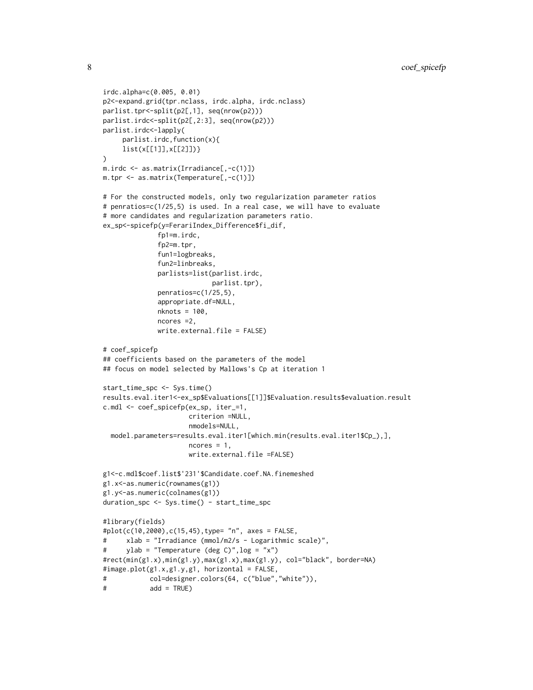```
irdc.alpha=c(0.005, 0.01)
p2<-expand.grid(tpr.nclass, irdc.alpha, irdc.nclass)
parlist.tpr<-split(p2[,1], seq(nrow(p2)))
parlist.irdc<-split(p2[,2:3], seq(nrow(p2)))
parlist.irdc<-lapply(
     parlist.irdc,function(x){
     list(x[[1]],x[[2]])}
\mathcal{L}m.irdc <- as.matrix(Irradiance[,-c(1)])
m.tpr <- as.matrix(Temperature[,-c(1)])
# For the constructed models, only two regularization parameter ratios
# penratios=c(1/25,5) is used. In a real case, we will have to evaluate
# more candidates and regularization parameters ratio.
ex_sp<-spicefp(y=FerariIndex_Difference$fi_dif,
              fp1=m.irdc,
              fp2=m.tpr,
              fun1=logbreaks,
              fun2=linbreaks,
              parlists=list(parlist.irdc,
                            parlist.tpr),
              penratios=c(1/25,5),
              appropriate.df=NULL,
              nknots = 100,
             ncores =2,
              write.external.file = FALSE)
# coef_spicefp
## coefficients based on the parameters of the model
## focus on model selected by Mallows's Cp at iteration 1
start_time_spc <- Sys.time()
results.eval.iter1<-ex_sp$Evaluations[[1]]$Evaluation.results$evaluation.result
c.mdl <- coef_spicefp(ex_sp, iter_=1,
                      criterion =NULL,
                      nmodels=NULL,
  model.parameters=results.eval.iter1[which.min(results.eval.iter1$Cp_),],
                      ncores = 1,
                      write.external.file =FALSE)
g1<-c.mdl$coef.list$'231'$Candidate.coef.NA.finemeshed
g1.x<-as.numeric(rownames(g1))
g1.y<-as.numeric(colnames(g1))
duration_spc <- Sys.time() - start_time_spc
#library(fields)
#plot(c(10,2000),c(15,45),type= "n", axes = FALSE,
# xlab = "Irradiance (mmol/m2/s - Logarithmic scale)",
# ylab = "Temperature (deg C)",log = "x")
#rect(min(g1.x),min(g1.y),max(g1.x),max(g1.y), col="black", border=NA)
#image.plot(g1.x,g1.y,g1, horizontal = FALSE,
# col=designer.colors(64, c("blue","white")),
# add = TRUE)
```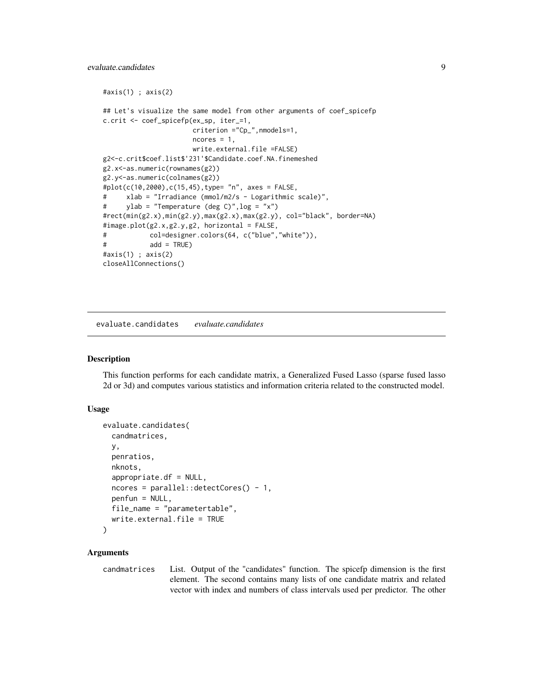```
#axis(1) ; axis(2)
## Let's visualize the same model from other arguments of coef_spicefp
c.crit <- coef_spicefp(ex_sp, iter_=1,
                      criterion ="Cp_",nmodels=1,
                      ncores = 1,
                      write.external.file =FALSE)
g2<-c.crit$coef.list$'231'$Candidate.coef.NA.finemeshed
g2.x<-as.numeric(rownames(g2))
g2.y<-as.numeric(colnames(g2))
#plot(c(10,2000),c(15,45),type= "n", axes = FALSE,
# xlab = "Irradiance (mmol/m2/s - Logarithmic scale)",
# ylab = "Temperature (deg C)",log = "x")
#rect(min(g2.x),min(g2.y),max(g2.x),max(g2.y), col="black", border=NA)
#image.plot(g2.x,g2.y,g2, horizontal = FALSE,
# col=designer.colors(64, c("blue","white")),
# add = TRUE)
#axis(1) ; axis(2)
closeAllConnections()
```
evaluate.candidates *evaluate.candidates*

# Description

This function performs for each candidate matrix, a Generalized Fused Lasso (sparse fused lasso 2d or 3d) and computes various statistics and information criteria related to the constructed model.

## Usage

```
evaluate.candidates(
  candmatrices,
 y,
 penratios,
 nknots,
  appropriate.df = NULL,ncores = parallel::detectCores() - 1,penfun = NULL,
  file_name = "parametertable",
  write.external.file = TRUE
)
```
# Arguments

candmatrices List. Output of the "candidates" function. The spicefp dimension is the first element. The second contains many lists of one candidate matrix and related vector with index and numbers of class intervals used per predictor. The other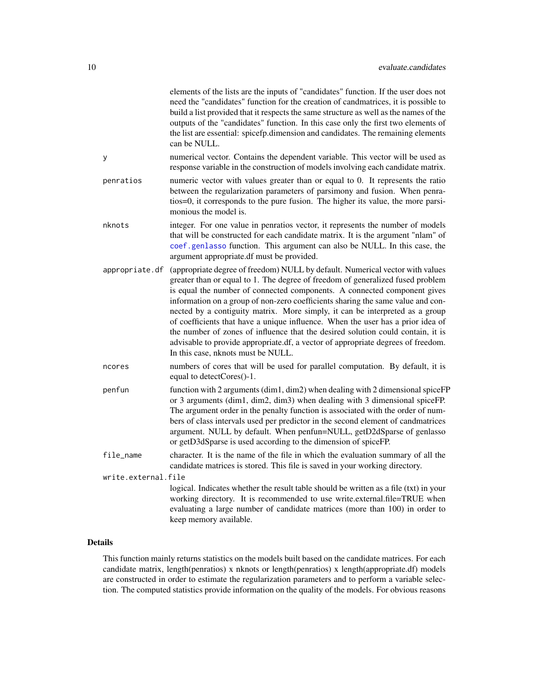<span id="page-9-0"></span>

|                     | elements of the lists are the inputs of "candidates" function. If the user does not<br>need the "candidates" function for the creation of candmatrices, it is possible to<br>build a list provided that it respects the same structure as well as the names of the<br>outputs of the "candidates" function. In this case only the first two elements of<br>the list are essential: spicefp.dimension and candidates. The remaining elements<br>can be NULL.                                                                                                                                                                                                                                                    |
|---------------------|----------------------------------------------------------------------------------------------------------------------------------------------------------------------------------------------------------------------------------------------------------------------------------------------------------------------------------------------------------------------------------------------------------------------------------------------------------------------------------------------------------------------------------------------------------------------------------------------------------------------------------------------------------------------------------------------------------------|
| у                   | numerical vector. Contains the dependent variable. This vector will be used as<br>response variable in the construction of models involving each candidate matrix.                                                                                                                                                                                                                                                                                                                                                                                                                                                                                                                                             |
| penratios           | numeric vector with values greater than or equal to 0. It represents the ratio<br>between the regularization parameters of parsimony and fusion. When penra-<br>tios=0, it corresponds to the pure fusion. The higher its value, the more parsi-<br>monious the model is.                                                                                                                                                                                                                                                                                                                                                                                                                                      |
| nknots              | integer. For one value in penratios vector, it represents the number of models<br>that will be constructed for each candidate matrix. It is the argument "nlam" of<br>coef.genlasso function. This argument can also be NULL. In this case, the<br>argument appropriate.df must be provided.                                                                                                                                                                                                                                                                                                                                                                                                                   |
| appropriate.df      | (appropriate degree of freedom) NULL by default. Numerical vector with values<br>greater than or equal to 1. The degree of freedom of generalized fused problem<br>is equal the number of connected components. A connected component gives<br>information on a group of non-zero coefficients sharing the same value and con-<br>nected by a contiguity matrix. More simply, it can be interpreted as a group<br>of coefficients that have a unique influence. When the user has a prior idea of<br>the number of zones of influence that the desired solution could contain, it is<br>advisable to provide appropriate.df, a vector of appropriate degrees of freedom.<br>In this case, nknots must be NULL. |
| ncores              | numbers of cores that will be used for parallel computation. By default, it is<br>equal to detectCores()-1.                                                                                                                                                                                                                                                                                                                                                                                                                                                                                                                                                                                                    |
| penfun              | function with 2 arguments (dim1, dim2) when dealing with 2 dimensional spiceFP<br>or 3 arguments (dim1, dim2, dim3) when dealing with 3 dimensional spiceFP.<br>The argument order in the penalty function is associated with the order of num-<br>bers of class intervals used per predictor in the second element of candmatrices<br>argument. NULL by default. When penfun=NULL, getD2dSparse of genlasso<br>or getD3dSparse is used according to the dimension of spiceFP.                                                                                                                                                                                                                                 |
| file_name           | character. It is the name of the file in which the evaluation summary of all the<br>candidate matrices is stored. This file is saved in your working directory.                                                                                                                                                                                                                                                                                                                                                                                                                                                                                                                                                |
| write.external.file | logical. Indicates whether the result table should be written as a file (txt) in your<br>working directory. It is recommended to use write.external.file=TRUE when<br>evaluating a large number of candidate matrices (more than 100) in order to<br>keep memory available.                                                                                                                                                                                                                                                                                                                                                                                                                                    |
|                     |                                                                                                                                                                                                                                                                                                                                                                                                                                                                                                                                                                                                                                                                                                                |

# Details

This function mainly returns statistics on the models built based on the candidate matrices. For each candidate matrix, length(penratios) x nknots or length(penratios) x length(appropriate.df) models are constructed in order to estimate the regularization parameters and to perform a variable selection. The computed statistics provide information on the quality of the models. For obvious reasons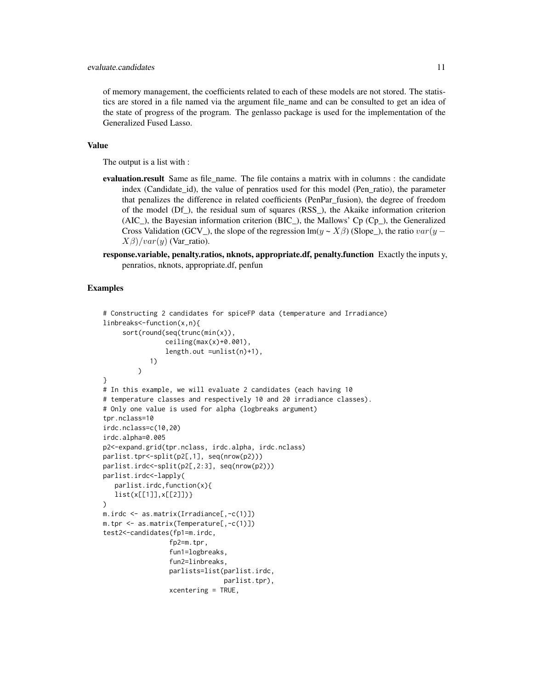of memory management, the coefficients related to each of these models are not stored. The statistics are stored in a file named via the argument file\_name and can be consulted to get an idea of the state of progress of the program. The genlasso package is used for the implementation of the Generalized Fused Lasso.

# Value

The output is a list with :

- evaluation.result Same as file name. The file contains a matrix with in columns : the candidate index (Candidate\_id), the value of penratios used for this model (Pen\_ratio), the parameter that penalizes the difference in related coefficients (PenPar\_fusion), the degree of freedom of the model (Df\_), the residual sum of squares (RSS\_), the Akaike information criterion (AIC\_), the Bayesian information criterion (BIC\_), the Mallows' Cp (Cp\_), the Generalized Cross Validation (GCV\_), the slope of the regression lm(y ~  $X\beta$ ) (Slope\_), the ratio var(y –  $X\beta$ )/var(y) (Var\_ratio).
- response.variable, penalty.ratios, nknots, appropriate.df, penalty.function Exactly the inputs y, penratios, nknots, appropriate.df, penfun

```
# Constructing 2 candidates for spiceFP data (temperature and Irradiance)
linbreaks<-function(x,n){
     sort(round(seq(trunc(min(x)),
                ceiling(max(x)+0.001),
                length.out =unlist(n)+1),
            1)
         \lambda}
# In this example, we will evaluate 2 candidates (each having 10
# temperature classes and respectively 10 and 20 irradiance classes).
# Only one value is used for alpha (logbreaks argument)
tpr.nclass=10
irdc.nclass=c(10,20)
irdc.alpha=0.005
p2<-expand.grid(tpr.nclass, irdc.alpha, irdc.nclass)
parlist.tpr<-split(p2[,1], seq(nrow(p2)))
parlist.irdc<-split(p2[,2:3], seq(nrow(p2)))
parlist.irdc<-lapply(
  parlist.irdc,function(x){
  list(x[[1]],x[[2]])}
)
m.irdc <- as.matrix(Irradiance[,-c(1)])
m.tpr <- as.matrix(Temperature[,-c(1)])
test2<-candidates(fp1=m.irdc,
                 fp2=m.tpr,
                 fun1=logbreaks,
                 fun2=linbreaks,
                 parlists=list(parlist.irdc,
                               parlist.tpr),
                 xcentering = TRUE,
```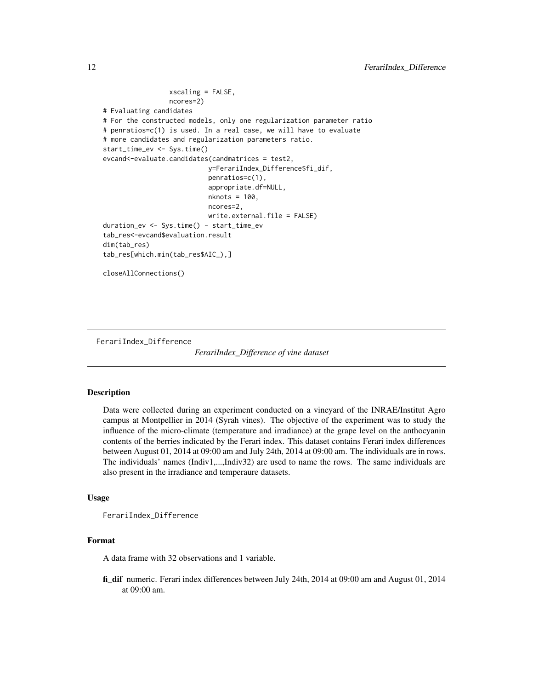```
xscaling = FALSE,
                 ncores=2)
# Evaluating candidates
# For the constructed models, only one regularization parameter ratio
# penratios=c(1) is used. In a real case, we will have to evaluate
# more candidates and regularization parameters ratio.
start_time_ev <- Sys.time()
evcand<-evaluate.candidates(candmatrices = test2,
                           y=FerariIndex_Difference$fi_dif,
                           penratios=c(1),
                           appropriate.df=NULL,
                           nknots = 100,
                           ncores=2,
                           write.external.file = FALSE)
duration_ev <- Sys.time() - start_time_ev
tab_res<-evcand$evaluation.result
dim(tab_res)
tab_res[which.min(tab_res$AIC_),]
closeAllConnections()
```
FerariIndex\_Difference

*FerariIndex\_Difference of vine dataset*

# Description

Data were collected during an experiment conducted on a vineyard of the INRAE/Institut Agro campus at Montpellier in 2014 (Syrah vines). The objective of the experiment was to study the influence of the micro-climate (temperature and irradiance) at the grape level on the anthocyanin contents of the berries indicated by the Ferari index. This dataset contains Ferari index differences between August 01, 2014 at 09:00 am and July 24th, 2014 at 09:00 am. The individuals are in rows. The individuals' names (Indiv1,...,Indiv32) are used to name the rows. The same individuals are also present in the irradiance and temperaure datasets.

#### Usage

FerariIndex\_Difference

# Format

A data frame with 32 observations and 1 variable.

fi\_dif numeric. Ferari index differences between July 24th, 2014 at 09:00 am and August 01, 2014 at 09:00 am.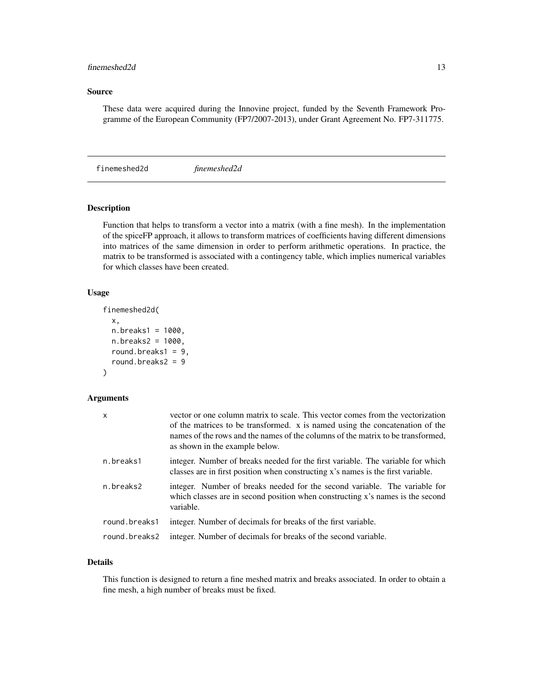# <span id="page-12-0"></span>finemeshed2d 13

# Source

These data were acquired during the Innovine project, funded by the Seventh Framework Programme of the European Community (FP7/2007-2013), under Grant Agreement No. FP7-311775.

finemeshed2d *finemeshed2d*

# Description

Function that helps to transform a vector into a matrix (with a fine mesh). In the implementation of the spiceFP approach, it allows to transform matrices of coefficients having different dimensions into matrices of the same dimension in order to perform arithmetic operations. In practice, the matrix to be transformed is associated with a contingency table, which implies numerical variables for which classes have been created.

# Usage

```
finemeshed2d(
  x,
  n.breaks1 = 1000,
 n.breaks2 = 1000,
 round.breaks1 = 9,
  round.breaks2 = 9
)
```
#### Arguments

| x             | vector or one column matrix to scale. This vector comes from the vectorization<br>of the matrices to be transformed. x is named using the concatenation of the<br>names of the rows and the names of the columns of the matrix to be transformed,<br>as shown in the example below. |
|---------------|-------------------------------------------------------------------------------------------------------------------------------------------------------------------------------------------------------------------------------------------------------------------------------------|
| n.breaks1     | integer. Number of breaks needed for the first variable. The variable for which<br>classes are in first position when constructing x's names is the first variable.                                                                                                                 |
| n.breaks2     | integer. Number of breaks needed for the second variable. The variable for<br>which classes are in second position when constructing x's names is the second<br>variable.                                                                                                           |
| round.breaks1 | integer. Number of decimals for breaks of the first variable.                                                                                                                                                                                                                       |
| round.breaks2 | integer. Number of decimals for breaks of the second variable.                                                                                                                                                                                                                      |

# Details

This function is designed to return a fine meshed matrix and breaks associated. In order to obtain a fine mesh, a high number of breaks must be fixed.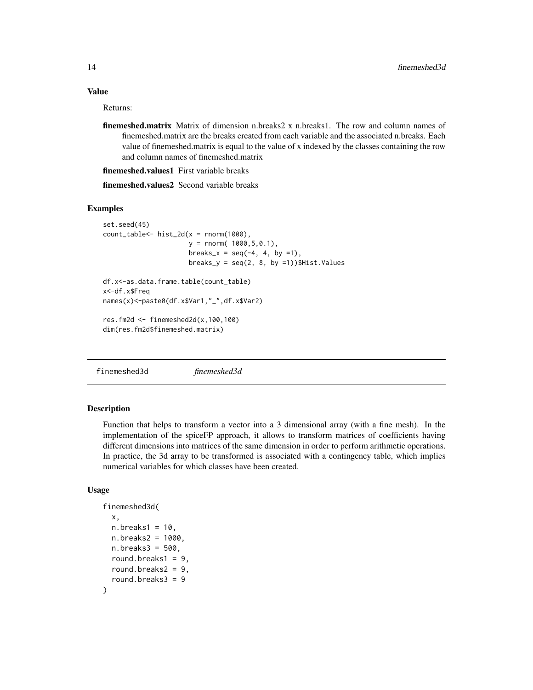# <span id="page-13-0"></span>Value

Returns:

finemeshed.matrix Matrix of dimension n.breaks2 x n.breaks1. The row and column names of finemeshed.matrix are the breaks created from each variable and the associated n.breaks. Each value of finemeshed.matrix is equal to the value of x indexed by the classes containing the row and column names of finemeshed.matrix

finemeshed.values1 First variable breaks

finemeshed.values2 Second variable breaks

#### Examples

```
set.seed(45)
count_table<-hist_2d(x = rnorm(1000),y = rnorm( 1000, 5, 0.1),
                      breaks_x = seq(-4, 4, by =1),
                      breaks_y = seq(2, 8, by = 1))$Hist.Values
df.x<-as.data.frame.table(count_table)
x<-df.x$Freq
names(x)<-paste0(df.x$Var1,"_",df.x$Var2)
res.fm2d <- finemeshed2d(x,100,100)
dim(res.fm2d$finemeshed.matrix)
```
finemeshed3d *finemeshed3d*

## Description

Function that helps to transform a vector into a 3 dimensional array (with a fine mesh). In the implementation of the spiceFP approach, it allows to transform matrices of coefficients having different dimensions into matrices of the same dimension in order to perform arithmetic operations. In practice, the 3d array to be transformed is associated with a contingency table, which implies numerical variables for which classes have been created.

#### Usage

```
finemeshed3d(
  x,
  n.breaks1 = 10,
  n.breaks2 = 1000,
  n.breaks3 = 500,
  round.breaks1 = 9,
  round.breaks2 = 9,
  round.breaks3 = 9
)
```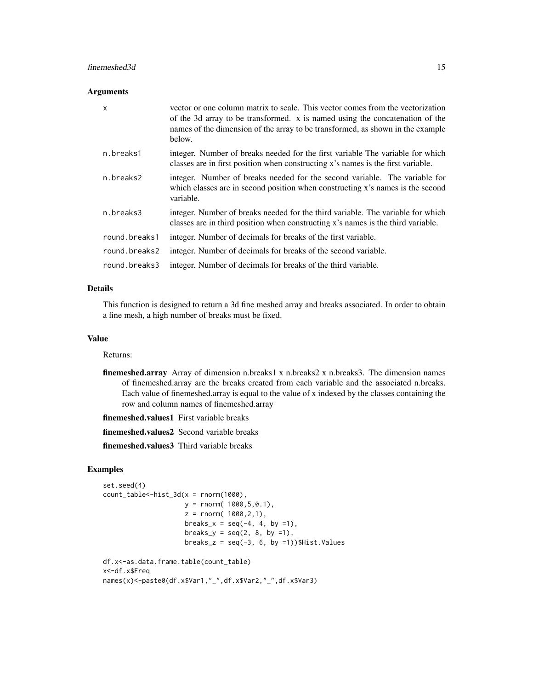## finemeshed3d 15

#### Arguments

| $\mathsf{x}$  | vector or one column matrix to scale. This vector comes from the vectorization<br>of the 3d array to be transformed. x is named using the concatenation of the<br>names of the dimension of the array to be transformed, as shown in the example<br>below. |
|---------------|------------------------------------------------------------------------------------------------------------------------------------------------------------------------------------------------------------------------------------------------------------|
| n.breaks1     | integer. Number of breaks needed for the first variable The variable for which<br>classes are in first position when constructing x's names is the first variable.                                                                                         |
| n.breaks2     | integer. Number of breaks needed for the second variable. The variable for<br>which classes are in second position when constructing x's names is the second<br>variable.                                                                                  |
| n.breaks3     | integer. Number of breaks needed for the third variable. The variable for which<br>classes are in third position when constructing x's names is the third variable.                                                                                        |
| round.breaks1 | integer. Number of decimals for breaks of the first variable.                                                                                                                                                                                              |
| round.breaks2 | integer. Number of decimals for breaks of the second variable.                                                                                                                                                                                             |
| round.breaks3 | integer. Number of decimals for breaks of the third variable.                                                                                                                                                                                              |

# Details

This function is designed to return a 3d fine meshed array and breaks associated. In order to obtain a fine mesh, a high number of breaks must be fixed.

# Value

Returns:

finemeshed.array Array of dimension n.breaks1 x n.breaks2 x n.breaks3. The dimension names of finemeshed.array are the breaks created from each variable and the associated n.breaks. Each value of finemeshed.array is equal to the value of x indexed by the classes containing the row and column names of finemeshed.array

finemeshed.values1 First variable breaks

finemeshed.values2 Second variable breaks

finemeshed.values3 Third variable breaks

```
set.seed(4)
count_table < -hist_3d(x = rnorm(1000),y = rnorm( 1000,5,0.1),
                     z = rnorm( 1000, 2, 1),
                     breaks_x = seq(-4, 4, by =1),
                     breaks_y = seq(2, 8, by = 1),
                     breaks_z = seq(-3, 6, by =1))$Hist.Values
df.x<-as.data.frame.table(count_table)
x<-df.x$Freq
names(x)<-paste0(df.x$Var1,"_",df.x$Var2,"_",df.x$Var3)
```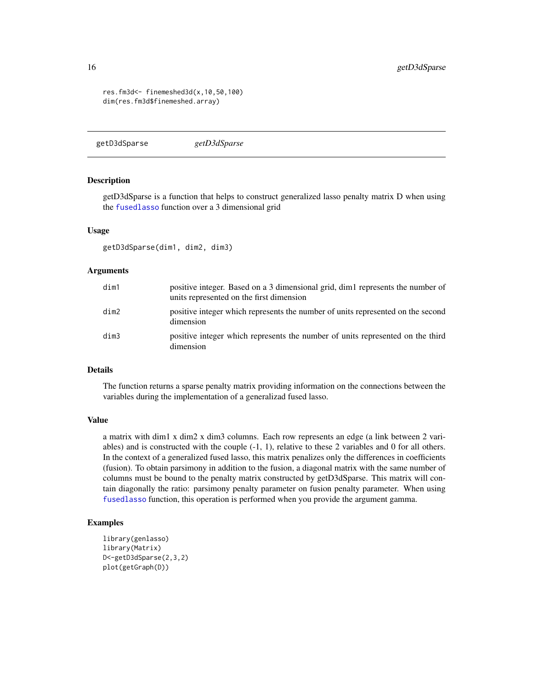```
res.fm3d<- finemeshed3d(x,10,50,100)
dim(res.fm3d$finemeshed.array)
```
getD3dSparse *getD3dSparse*

#### Description

getD3dSparse is a function that helps to construct generalized lasso penalty matrix D when using the [fusedlasso](#page-0-0) function over a 3 dimensional grid

# Usage

getD3dSparse(dim1, dim2, dim3)

#### **Arguments**

| dim1 | positive integer. Based on a 3 dimensional grid, dim1 represents the number of<br>units represented on the first dimension |
|------|----------------------------------------------------------------------------------------------------------------------------|
| dim2 | positive integer which represents the number of units represented on the second<br>dimension                               |
| dim3 | positive integer which represents the number of units represented on the third<br>dimension                                |

# Details

The function returns a sparse penalty matrix providing information on the connections between the variables during the implementation of a generalizad fused lasso.

#### Value

a matrix with dim1 x dim2 x dim3 columns. Each row represents an edge (a link between 2 variables) and is constructed with the couple (-1, 1), relative to these 2 variables and 0 for all others. In the context of a generalized fused lasso, this matrix penalizes only the differences in coefficients (fusion). To obtain parsimony in addition to the fusion, a diagonal matrix with the same number of columns must be bound to the penalty matrix constructed by getD3dSparse. This matrix will contain diagonally the ratio: parsimony penalty parameter on fusion penalty parameter. When using [fusedlasso](#page-0-0) function, this operation is performed when you provide the argument gamma.

```
library(genlasso)
library(Matrix)
D<-getD3dSparse(2,3,2)
plot(getGraph(D))
```
<span id="page-15-0"></span>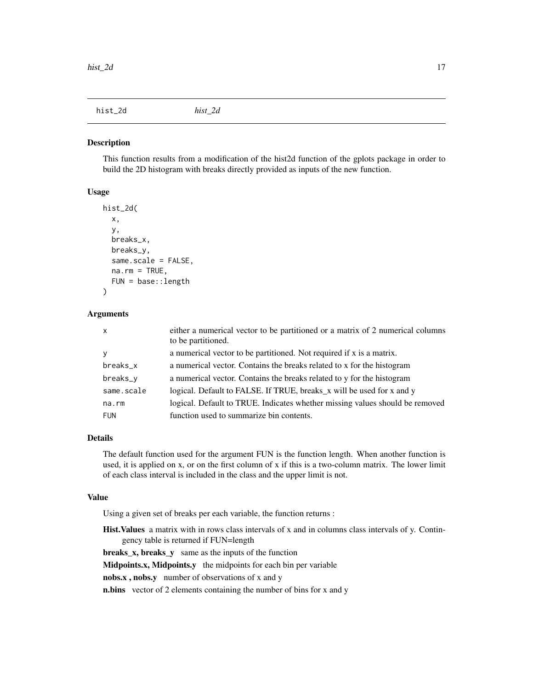<span id="page-16-0"></span>hist\_2d *hist\_2d*

#### Description

This function results from a modification of the hist2d function of the gplots package in order to build the 2D histogram with breaks directly provided as inputs of the new function.

# Usage

```
hist_2d(
  x,
  y,
  breaks_x,
 breaks_y,
  same.scale = FALSE,
  na.rm = TRUE,FUN = base::length
)
```
#### Arguments

| $\mathsf{X}$ | either a numerical vector to be partitioned or a matrix of 2 numerical columns<br>to be partitioned. |
|--------------|------------------------------------------------------------------------------------------------------|
| <b>y</b>     | a numerical vector to be partitioned. Not required if x is a matrix.                                 |
| breaks_x     | a numerical vector. Contains the breaks related to x for the histogram                               |
| breaks_v     | a numerical vector. Contains the breaks related to y for the histogram                               |
| same.scale   | logical. Default to FALSE. If TRUE, breaks_x will be used for x and y                                |
| na.rm        | logical. Default to TRUE. Indicates whether missing values should be removed                         |
| <b>FUN</b>   | function used to summarize bin contents.                                                             |

#### Details

The default function used for the argument FUN is the function length. When another function is used, it is applied on x, or on the first column of x if this is a two-column matrix. The lower limit of each class interval is included in the class and the upper limit is not.

# Value

Using a given set of breaks per each variable, the function returns :

Hist.Values a matrix with in rows class intervals of x and in columns class intervals of y. Contingency table is returned if FUN=length

breaks\_x, breaks\_y same as the inputs of the function

Midpoints.x, Midpoints.y the midpoints for each bin per variable

nobs.x , nobs.y number of observations of x and y

n.bins vector of 2 elements containing the number of bins for x and y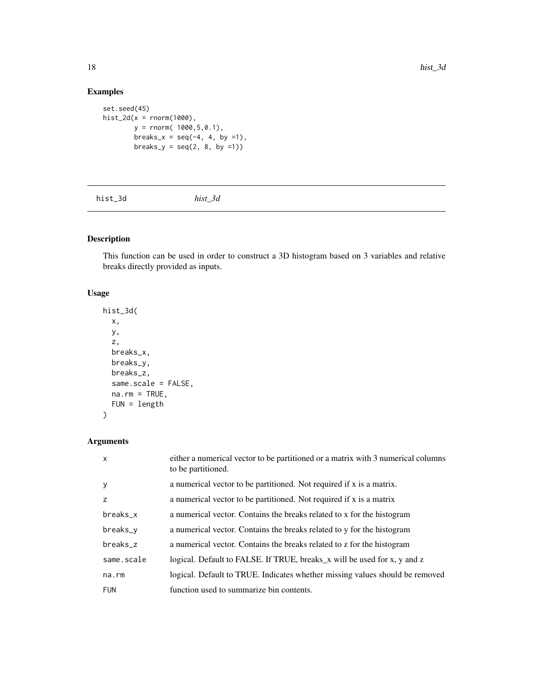# Examples

```
set.seed(45)
hist_2d(x = rnorm(1000),y = rnorm( 1000,5,0.1),
       breaks_x = seq(-4, 4, by =1),
       breaks_y = seq(2, 8, by =1))
```
hist\_3d *hist\_3d*

# Description

This function can be used in order to construct a 3D histogram based on 3 variables and relative breaks directly provided as inputs.

# Usage

```
hist_3d(
  x,
 y,
  z,
 breaks_x,
 breaks_y,
 breaks_z,
  same.scale = FALSE,
 na.rm = TRUE,FUN = length
)
```
# Arguments

| $\mathsf{x}$ | either a numerical vector to be partitioned or a matrix with 3 numerical columns<br>to be partitioned. |
|--------------|--------------------------------------------------------------------------------------------------------|
| у            | a numerical vector to be partitioned. Not required if x is a matrix.                                   |
| z            | a numerical vector to be partitioned. Not required if x is a matrix                                    |
| breaks_x     | a numerical vector. Contains the breaks related to x for the histogram                                 |
| breaks_y     | a numerical vector. Contains the breaks related to y for the histogram                                 |
| breaks_z     | a numerical vector. Contains the breaks related to z for the histogram                                 |
| same.scale   | logical. Default to FALSE. If TRUE, breaks_x will be used for x, y and z                               |
| $na$ . $rm$  | logical. Default to TRUE. Indicates whether missing values should be removed                           |
| <b>FUN</b>   | function used to summarize bin contents.                                                               |

<span id="page-17-0"></span>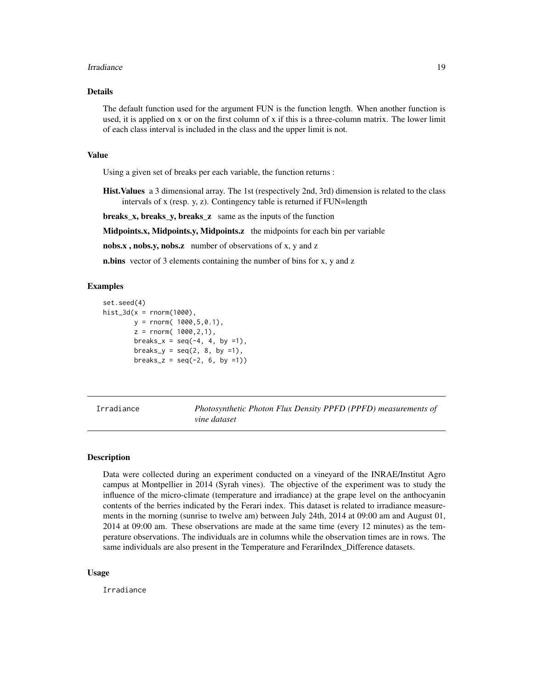#### <span id="page-18-0"></span>Irradiance 2008 and 2009 and 2008 and 2009 and 2009 and 2009 and 2009 and 2009 and 2009 and 2009 and 2009 and 2009 and 2009 and 2009 and 2009 and 2009 and 2009 and 2009 and 2009 and 2009 and 2009 and 2009 and 2009 and 2009

# Details

The default function used for the argument FUN is the function length. When another function is used, it is applied on x or on the first column of x if this is a three-column matrix. The lower limit of each class interval is included in the class and the upper limit is not.

#### Value

Using a given set of breaks per each variable, the function returns :

Hist.Values a 3 dimensional array. The 1st (respectively 2nd, 3rd) dimension is related to the class intervals of x (resp. y, z). Contingency table is returned if FUN=length

breaks\_x, breaks\_y, breaks\_z same as the inputs of the function

Midpoints.x, Midpoints.y, Midpoints.z the midpoints for each bin per variable

nobs.x, nobs.y, nobs.z number of observations of x, y and z

**n.bins** vector of 3 elements containing the number of bins for x, y and z

# Examples

```
set.seed(4)
hist_3d(x = rnorm(1000),
       y = rnorm( 1000, 5, 0.1),
        z = rnorm( 1000, 2, 1),breaks_x = seq(-4, 4, by =1),
        breaks_y = seq(2, 8, by =1),
        breaks_z = seq(-2, 6, by =1))
```
Irradiance *Photosynthetic Photon Flux Density PPFD (PPFD) measurements of vine dataset*

#### Description

Data were collected during an experiment conducted on a vineyard of the INRAE/Institut Agro campus at Montpellier in 2014 (Syrah vines). The objective of the experiment was to study the influence of the micro-climate (temperature and irradiance) at the grape level on the anthocyanin contents of the berries indicated by the Ferari index. This dataset is related to irradiance measurements in the morning (sunrise to twelve am) between July 24th, 2014 at 09:00 am and August 01, 2014 at 09:00 am. These observations are made at the same time (every 12 minutes) as the temperature observations. The individuals are in columns while the observation times are in rows. The same individuals are also present in the Temperature and FerariIndex Difference datasets.

#### Usage

Irradiance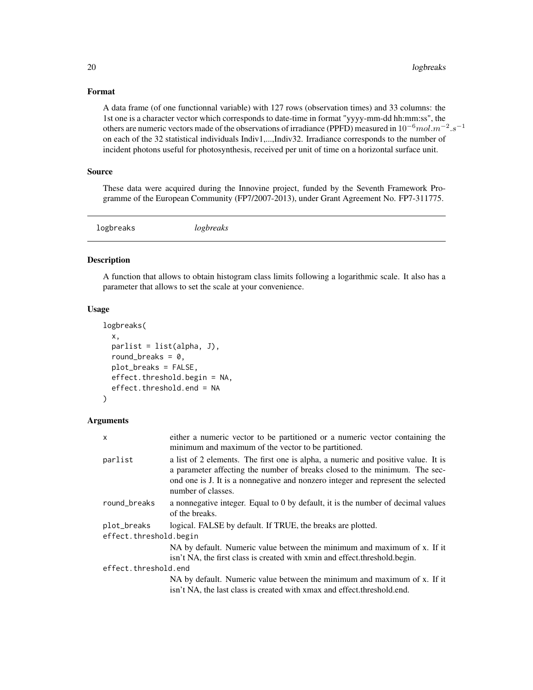# <span id="page-19-0"></span>Format

A data frame (of one functionnal variable) with 127 rows (observation times) and 33 columns: the 1st one is a character vector which corresponds to date-time in format "yyyy-mm-dd hh:mm:ss", the others are numeric vectors made of the observations of irradiance (PPFD) measured in  $10^{-6}$  mol. $m^{-2}$ . $s^{-1}$ on each of the 32 statistical individuals Indiv1,...,Indiv32. Irradiance corresponds to the number of incident photons useful for photosynthesis, received per unit of time on a horizontal surface unit.

# Source

These data were acquired during the Innovine project, funded by the Seventh Framework Programme of the European Community (FP7/2007-2013), under Grant Agreement No. FP7-311775.

logbreaks *logbreaks*

#### Description

A function that allows to obtain histogram class limits following a logarithmic scale. It also has a parameter that allows to set the scale at your convenience.

#### Usage

```
logbreaks(
  x,
 parlist = list(alpha, J),
  round_breaks = 0,
 plot_breaks = FALSE,
  effect.threshold.begin = NA,
  effect.threshold.end = NA
\mathcal{E}
```
# Arguments

| x                                     | either a numeric vector to be partitioned or a numeric vector containing the<br>minimum and maximum of the vector to be partitioned.                                                                                                                                      |
|---------------------------------------|---------------------------------------------------------------------------------------------------------------------------------------------------------------------------------------------------------------------------------------------------------------------------|
| parlist                               | a list of 2 elements. The first one is alpha, a numeric and positive value. It is<br>a parameter affecting the number of breaks closed to the minimum. The sec-<br>ond one is J. It is a nonnegative and nonzero integer and represent the selected<br>number of classes. |
| round_breaks                          | a nonnegative integer. Equal to 0 by default, it is the number of decimal values<br>of the breaks.                                                                                                                                                                        |
| plot_breaks<br>effect.threshold.begin | logical. FALSE by default. If TRUE, the breaks are plotted.                                                                                                                                                                                                               |
|                                       | NA by default. Numeric value between the minimum and maximum of x. If it<br>isn't NA, the first class is created with xmin and effect threshold begin.                                                                                                                    |
| effect.threshold.end                  |                                                                                                                                                                                                                                                                           |
|                                       | NA by default. Numeric value between the minimum and maximum of x. If it<br>isn't NA, the last class is created with xmax and effect threshold end.                                                                                                                       |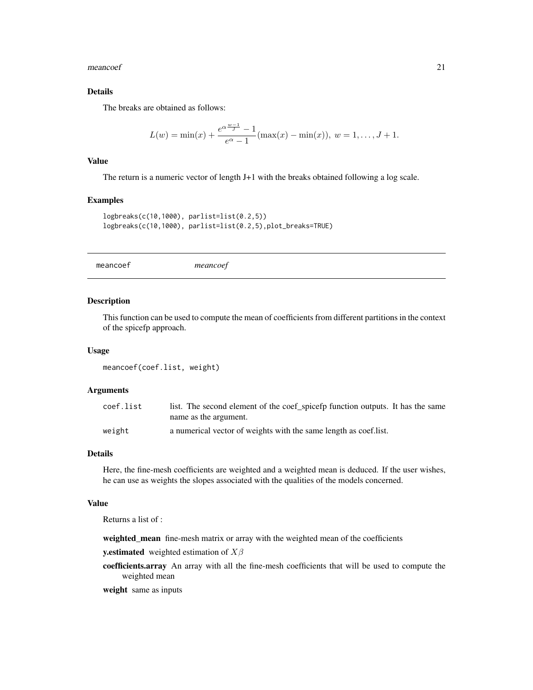<span id="page-20-0"></span>meancoef 21

# Details

The breaks are obtained as follows:

$$
L(w) = \min(x) + \frac{e^{\alpha \frac{w-1}{J}} - 1}{e^{\alpha} - 1} (\max(x) - \min(x)), \ w = 1, \dots, J+1.
$$

#### Value

The return is a numeric vector of length J+1 with the breaks obtained following a log scale.

# Examples

```
logbreaks(c(10,1000), parlist=list(0.2,5))
logbreaks(c(10,1000), parlist=list(0.2,5),plot_breaks=TRUE)
```
meancoef *meancoef*

## Description

This function can be used to compute the mean of coefficients from different partitions in the context of the spicefp approach.

#### Usage

```
meancoef(coef.list, weight)
```
#### Arguments

| coef.list | list. The second element of the coef_spicefp function outputs. It has the same |
|-----------|--------------------------------------------------------------------------------|
|           | name as the argument.                                                          |
| weight    | a numerical vector of weights with the same length as coef.list.               |

#### Details

Here, the fine-mesh coefficients are weighted and a weighted mean is deduced. If the user wishes, he can use as weights the slopes associated with the qualities of the models concerned.

#### Value

Returns a list of :

weighted\_mean fine-mesh matrix or array with the weighted mean of the coefficients

**y.estimated** weighted estimation of  $X\beta$ 

coefficients.array An array with all the fine-mesh coefficients that will be used to compute the weighted mean

weight same as inputs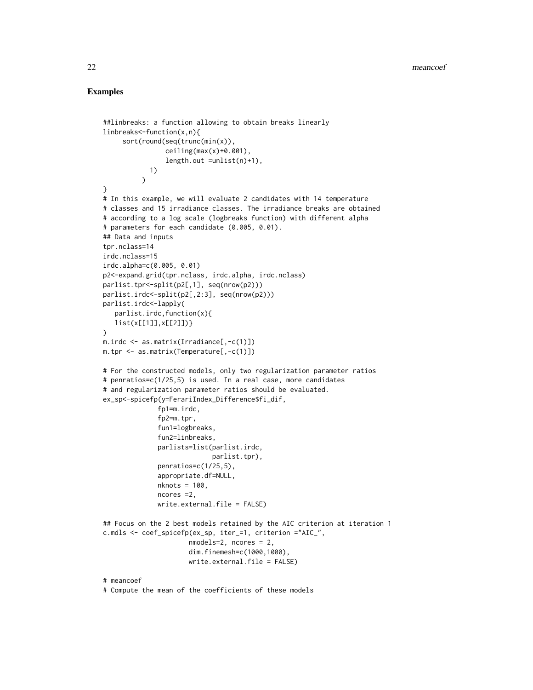```
##linbreaks: a function allowing to obtain breaks linearly
linbreaks<-function(x,n){
     sort(round(seq(trunc(min(x)),
                ceiling(max(x)+0.001),
                length.out =unlist(n)+1),
            1)
          \lambda}
# In this example, we will evaluate 2 candidates with 14 temperature
# classes and 15 irradiance classes. The irradiance breaks are obtained
# according to a log scale (logbreaks function) with different alpha
# parameters for each candidate (0.005, 0.01).
## Data and inputs
tpr.nclass=14
irdc.nclass=15
irdc.alpha=c(0.005, 0.01)
p2<-expand.grid(tpr.nclass, irdc.alpha, irdc.nclass)
parlist.tpr<-split(p2[,1], seq(nrow(p2)))
parlist.irdc<-split(p2[,2:3], seq(nrow(p2)))
parlist.irdc<-lapply(
   parlist.irdc,function(x){
   list(x[[1]],x[[2]])}
\mathcal{L}m.irdc <- as.matrix(Irradiance[,-c(1)])
m.tpr <- as.matrix(Temperature[,-c(1)])
# For the constructed models, only two regularization parameter ratios
# penratios=c(1/25,5) is used. In a real case, more candidates
# and regularization parameter ratios should be evaluated.
ex_sp<-spicefp(y=FerariIndex_Difference$fi_dif,
              fp1=m.irdc,
              fp2=m.tpr,
              fun1=logbreaks,
              fun2=linbreaks,
              parlists=list(parlist.irdc,
                            parlist.tpr),
              penratios=c(1/25,5),
              appropriate.df=NULL,
              nknots = 100,
              ncores =2,
              write.external.file = FALSE)
## Focus on the 2 best models retained by the AIC criterion at iteration 1
c.mdls <- coef_spicefp(ex_sp, iter_=1, criterion ="AIC_",
                      nmodels=2, ncores = 2,
                      dim.finemesh=c(1000,1000),
                      write.external.file = FALSE)
# meancoef
# Compute the mean of the coefficients of these models
```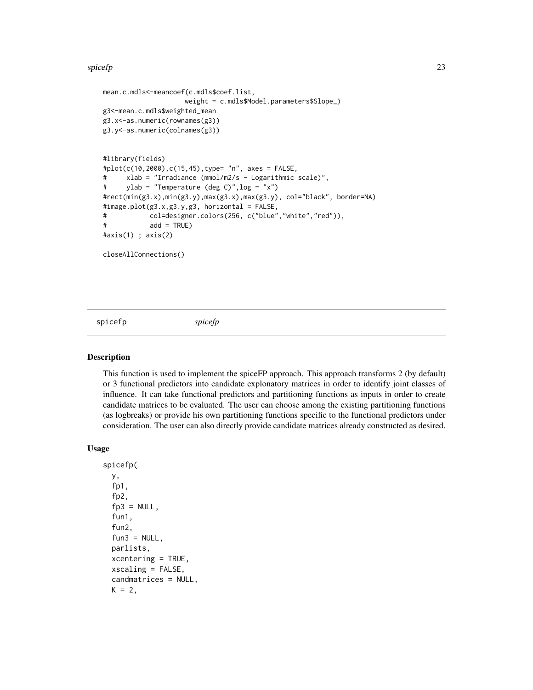#### <span id="page-22-0"></span>spicefp 23

```
mean.c.mdls<-meancoef(c.mdls$coef.list,
                    weight = c.mdls$Model.parameters$Slope_)
g3<-mean.c.mdls$weighted_mean
g3.x<-as.numeric(rownames(g3))
g3.y<-as.numeric(colnames(g3))
#library(fields)
#plot(c(10,2000),c(15,45),type= "n", axes = FALSE,
# xlab = "Irradiance (mmol/m2/s - Logarithmic scale)",
# ylab = "Temperature (deg C)",log = "x")
#rect(min(g3.x),min(g3.y),max(g3.x),max(g3.y), col="black", border=NA)
#image.plot(g3.x,g3.y,g3, horizontal = FALSE,
# col=designer.colors(256, c("blue","white","red")),
# add = TRUE)
#axis(1) ; axis(2)
closeAllConnections()
```
<span id="page-22-1"></span>spicefp *spicefp*

# Description

This function is used to implement the spiceFP approach. This approach transforms 2 (by default) or 3 functional predictors into candidate explonatory matrices in order to identify joint classes of influence. It can take functional predictors and partitioning functions as inputs in order to create candidate matrices to be evaluated. The user can choose among the existing partitioning functions (as logbreaks) or provide his own partitioning functions specific to the functional predictors under consideration. The user can also directly provide candidate matrices already constructed as desired.

#### Usage

```
spicefp(
 y,
  fp1,
  fp2,
  fp3 = NULL,fun1,
  fun2,
  fun3 = NULL,parlists,
  xcentering = TRUE,
  xscaling = FALSE,
  candmatrices = NULL,
 K = 2,
```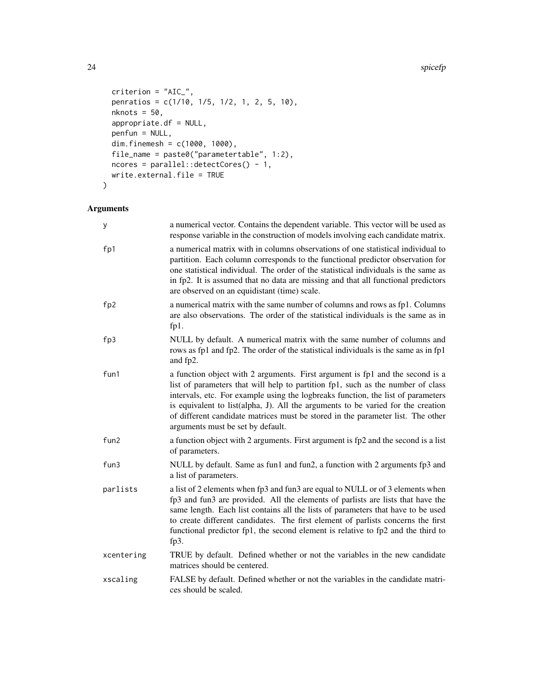24 spicefp

```
criterion = "AIC_",
 penratios = c(1/10, 1/5, 1/2, 1, 2, 5, 10),
 nknots = 50,
 appropriate.df = NULL,
 penfun = NULL,
 dim.finemesh = c(1000, 1000),
 file_name = paste0("parametertable", 1:2),
 ncores = parallel::detectCores() - 1,
 write.external.file = TRUE
\mathcal{L}
```
# Arguments

| У          | a numerical vector. Contains the dependent variable. This vector will be used as<br>response variable in the construction of models involving each candidate matrix.                                                                                                                                                                                                                                                                                             |
|------------|------------------------------------------------------------------------------------------------------------------------------------------------------------------------------------------------------------------------------------------------------------------------------------------------------------------------------------------------------------------------------------------------------------------------------------------------------------------|
| fp1        | a numerical matrix with in columns observations of one statistical individual to<br>partition. Each column corresponds to the functional predictor observation for<br>one statistical individual. The order of the statistical individuals is the same as<br>in fp2. It is assumed that no data are missing and that all functional predictors<br>are observed on an equidistant (time) scale.                                                                   |
| fp2        | a numerical matrix with the same number of columns and rows as fp1. Columns<br>are also observations. The order of the statistical individuals is the same as in<br>fp1.                                                                                                                                                                                                                                                                                         |
| fp3        | NULL by default. A numerical matrix with the same number of columns and<br>rows as fp1 and fp2. The order of the statistical individuals is the same as in fp1<br>and fp2.                                                                                                                                                                                                                                                                                       |
| fun1       | a function object with 2 arguments. First argument is fp1 and the second is a<br>list of parameters that will help to partition fp1, such as the number of class<br>intervals, etc. For example using the logbreaks function, the list of parameters<br>is equivalent to list(alpha, J). All the arguments to be varied for the creation<br>of different candidate matrices must be stored in the parameter list. The other<br>arguments must be set by default. |
| fun2       | a function object with 2 arguments. First argument is fp2 and the second is a list<br>of parameters.                                                                                                                                                                                                                                                                                                                                                             |
| fun3       | NULL by default. Same as fun1 and fun2, a function with 2 arguments fp3 and<br>a list of parameters.                                                                                                                                                                                                                                                                                                                                                             |
| parlists   | a list of 2 elements when fp3 and fun3 are equal to NULL or of 3 elements when<br>fp3 and fun3 are provided. All the elements of parlists are lists that have the<br>same length. Each list contains all the lists of parameters that have to be used<br>to create different candidates. The first element of parlists concerns the first<br>functional predictor fp1, the second element is relative to fp2 and the third to<br>fp3.                            |
| xcentering | TRUE by default. Defined whether or not the variables in the new candidate<br>matrices should be centered.                                                                                                                                                                                                                                                                                                                                                       |
| xscaling   | FALSE by default. Defined whether or not the variables in the candidate matri-<br>ces should be scaled.                                                                                                                                                                                                                                                                                                                                                          |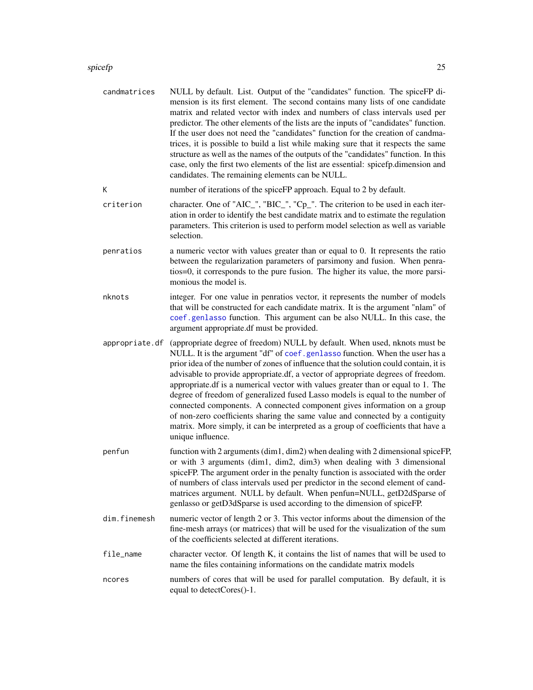#### <span id="page-24-0"></span>spicefp 25

| candmatrices | NULL by default. List. Output of the "candidates" function. The spiceFP di-         |
|--------------|-------------------------------------------------------------------------------------|
|              | mension is its first element. The second contains many lists of one candidate       |
|              | matrix and related vector with index and numbers of class intervals used per        |
|              | predictor. The other elements of the lists are the inputs of "candidates" function. |
|              | If the user does not need the "candidates" function for the creation of candma-     |
|              | trices, it is possible to build a list while making sure that it respects the same  |
|              | structure as well as the names of the outputs of the "candidates" function. In this |
|              | case, only the first two elements of the list are essential: spicefp.dimension and  |
|              | candidates. The remaining elements can be NULL.                                     |
|              |                                                                                     |

- K number of iterations of the spiceFP approach. Equal to 2 by default.
- criterion character. One of "AIC\_", "BIC\_", "Cp\_". The criterion to be used in each iteration in order to identify the best candidate matrix and to estimate the regulation parameters. This criterion is used to perform model selection as well as variable selection.
- penratios a numeric vector with values greater than or equal to 0. It represents the ratio between the regularization parameters of parsimony and fusion. When penratios=0, it corresponds to the pure fusion. The higher its value, the more parsimonious the model is.
- nknots integer. For one value in penratios vector, it represents the number of models that will be constructed for each candidate matrix. It is the argument "nlam" of [coef.genlasso](#page-0-0) function. This argument can be also NULL. In this case, the argument appropriate.df must be provided.
- appropriate.df (appropriate degree of freedom) NULL by default. When used, nknots must be NULL. It is the argument "df" of [coef.genlasso](#page-0-0) function. When the user has a prior idea of the number of zones of influence that the solution could contain, it is advisable to provide appropriate.df, a vector of appropriate degrees of freedom. appropriate.df is a numerical vector with values greater than or equal to 1. The degree of freedom of generalized fused Lasso models is equal to the number of connected components. A connected component gives information on a group of non-zero coefficients sharing the same value and connected by a contiguity matrix. More simply, it can be interpreted as a group of coefficients that have a unique influence.
- penfun function with 2 arguments  $(\text{dim}1, \text{dim}2)$  when dealing with 2 dimensional spiceFP, or with 3 arguments (dim1, dim2, dim3) when dealing with 3 dimensional spiceFP. The argument order in the penalty function is associated with the order of numbers of class intervals used per predictor in the second element of candmatrices argument. NULL by default. When penfun=NULL, getD2dSparse of genlasso or getD3dSparse is used according to the dimension of spiceFP.
- dim.finemesh numeric vector of length 2 or 3. This vector informs about the dimension of the fine-mesh arrays (or matrices) that will be used for the visualization of the sum of the coefficients selected at different iterations.
- file\_name character vector. Of length K, it contains the list of names that will be used to name the files containing informations on the candidate matrix models
- ncores numbers of cores that will be used for parallel computation. By default, it is equal to detectCores()-1.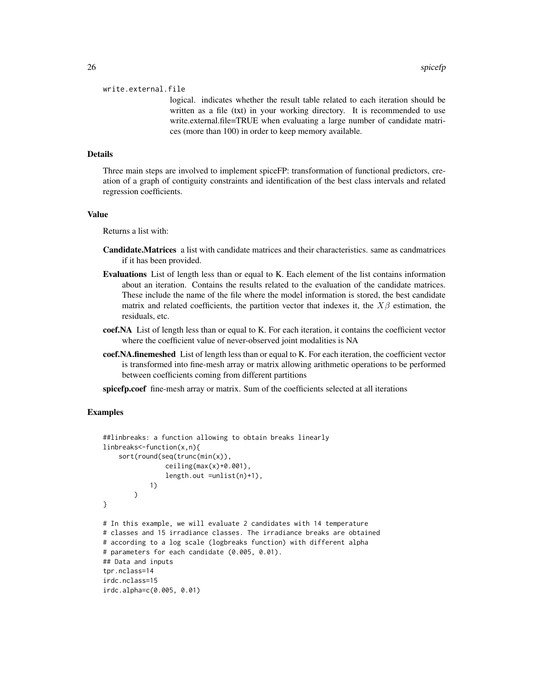#### write.external.file

logical. indicates whether the result table related to each iteration should be written as a file (txt) in your working directory. It is recommended to use write.external.file=TRUE when evaluating a large number of candidate matrices (more than 100) in order to keep memory available.

# Details

Three main steps are involved to implement spiceFP: transformation of functional predictors, creation of a graph of contiguity constraints and identification of the best class intervals and related regression coefficients.

#### Value

Returns a list with:

- Candidate.Matrices a list with candidate matrices and their characteristics. same as candmatrices if it has been provided.
- Evaluations List of length less than or equal to K. Each element of the list contains information about an iteration. Contains the results related to the evaluation of the candidate matrices. These include the name of the file where the model information is stored, the best candidate matrix and related coefficients, the partition vector that indexes it, the  $X\beta$  estimation, the residuals, etc.
- coef.NA List of length less than or equal to K. For each iteration, it contains the coefficient vector where the coefficient value of never-observed joint modalities is NA
- coef.NA.finemeshed List of length less than or equal to K. For each iteration, the coefficient vector is transformed into fine-mesh array or matrix allowing arithmetic operations to be performed between coefficients coming from different partitions

spicefp.coef fine-mesh array or matrix. Sum of the coefficients selected at all iterations

```
##linbreaks: a function allowing to obtain breaks linearly
linbreaks<-function(x,n){
    sort(round(seq(trunc(min(x)),
                ceiling(max(x)+0.001),
                length.out =unlist(n)+1),
            1)
        \lambda}
# In this example, we will evaluate 2 candidates with 14 temperature
# classes and 15 irradiance classes. The irradiance breaks are obtained
# according to a log scale (logbreaks function) with different alpha
# parameters for each candidate (0.005, 0.01).
## Data and inputs
tpr.nclass=14
irdc.nclass=15
irdc.alpha=c(0.005, 0.01)
```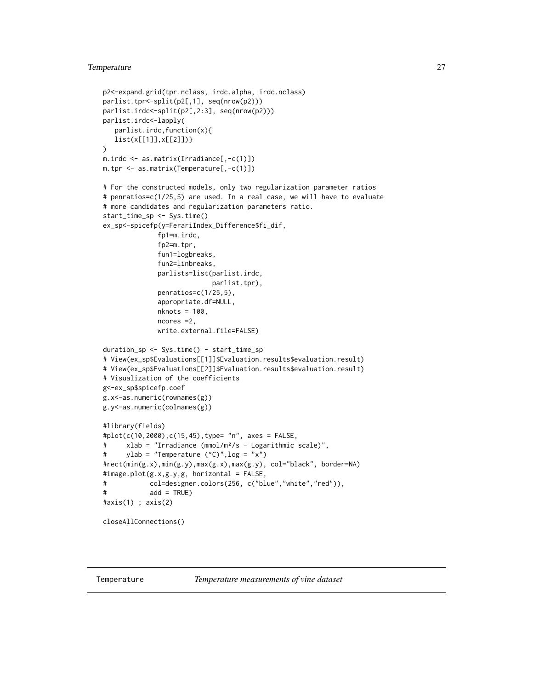# <span id="page-26-0"></span>Temperature 27

```
p2<-expand.grid(tpr.nclass, irdc.alpha, irdc.nclass)
parlist.tpr<-split(p2[,1], seq(nrow(p2)))
parlist.irdc<-split(p2[,2:3], seq(nrow(p2)))
parlist.irdc<-lapply(
   parlist.irdc,function(x){
   list(x[[1]],x[[2]])}
\lambdam.irdc <- as.matrix(Irradiance[,-c(1)])
m.tpr <- as.matrix(Temperature[,-c(1)])
# For the constructed models, only two regularization parameter ratios
# penratios=c(1/25,5) are used. In a real case, we will have to evaluate
# more candidates and regularization parameters ratio.
start_time_sp <- Sys.time()
ex_sp<-spicefp(y=FerariIndex_Difference$fi_dif,
              fp1=m.irdc,
              fp2=m.tpr,
              fun1=logbreaks,
              fun2=linbreaks,
              parlists=list(parlist.irdc,
                            parlist.tpr),
              penratios=c(1/25,5),
              appropriate.df=NULL,
              nknots = 100,
              ncores =2,
              write.external.file=FALSE)
duration_sp <- Sys.time() - start_time_sp
# View(ex_sp$Evaluations[[1]]$Evaluation.results$evaluation.result)
# View(ex_sp$Evaluations[[2]]$Evaluation.results$evaluation.result)
# Visualization of the coefficients
g<-ex_sp$spicefp.coef
g.x<-as.numeric(rownames(g))
g.y<-as.numeric(colnames(g))
#library(fields)
#plot(c(10,2000),c(15,45),type= "n", axes = FALSE,
# xlab = "Irradiance (mmol/m²/s - Logarithmic scale)",
# ylab = "Temperature (°C)",log = "x")
#rect(min(g.x),min(g.y),max(g.x),max(g.y), col="black", border=NA)
#image.plot(g.x,g.y,g, horizontal = FALSE,
# col=designer.colors(256, c("blue","white","red")),
# add = TRUE)
#axis(1) ; axis(2)
closeAllConnections()
```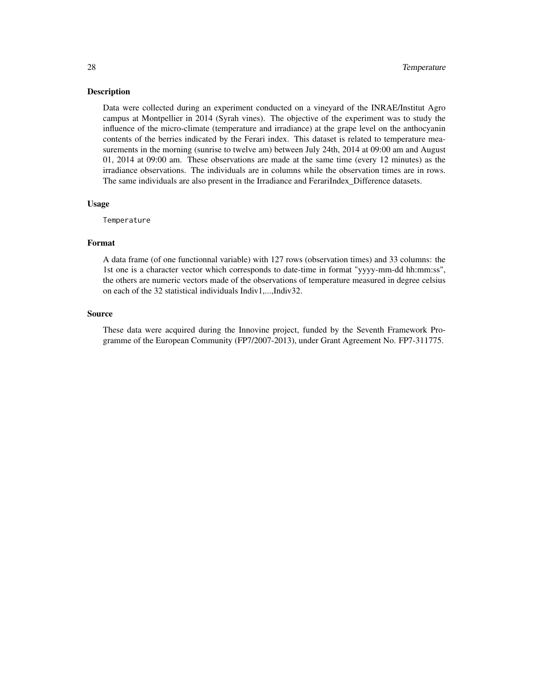#### <span id="page-27-0"></span>Description

Data were collected during an experiment conducted on a vineyard of the INRAE/Institut Agro campus at Montpellier in 2014 (Syrah vines). The objective of the experiment was to study the influence of the micro-climate (temperature and irradiance) at the grape level on the anthocyanin contents of the berries indicated by the Ferari index. This dataset is related to temperature measurements in the morning (sunrise to twelve am) between July 24th, 2014 at 09:00 am and August 01, 2014 at 09:00 am. These observations are made at the same time (every 12 minutes) as the irradiance observations. The individuals are in columns while the observation times are in rows. The same individuals are also present in the Irradiance and FerariIndex\_Difference datasets.

#### Usage

Temperature

#### Format

A data frame (of one functionnal variable) with 127 rows (observation times) and 33 columns: the 1st one is a character vector which corresponds to date-time in format "yyyy-mm-dd hh:mm:ss", the others are numeric vectors made of the observations of temperature measured in degree celsius on each of the 32 statistical individuals Indiv1,...,Indiv32.

#### Source

These data were acquired during the Innovine project, funded by the Seventh Framework Programme of the European Community (FP7/2007-2013), under Grant Agreement No. FP7-311775.